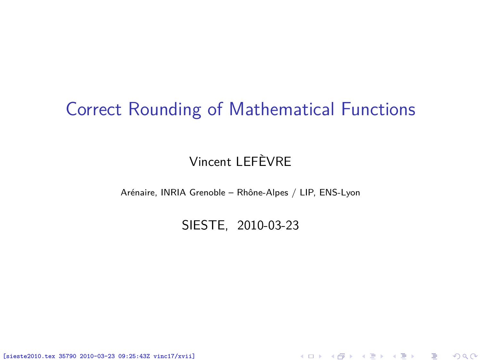### Correct Rounding of Mathematical Functions

### Vincent LEFÈVRE

Arénaire, INRIA Grenoble – Rhône-Alpes / LIP, ENS-Lyon

SIESTE, 2010-03-23

<span id="page-0-0"></span>K ロ ▶ K @ ▶ K 할 ▶ K 할 ▶ 이 할 → 900

[sieste2010.tex 35790 2010-03-23 09:25:43Z vinc17/xvii]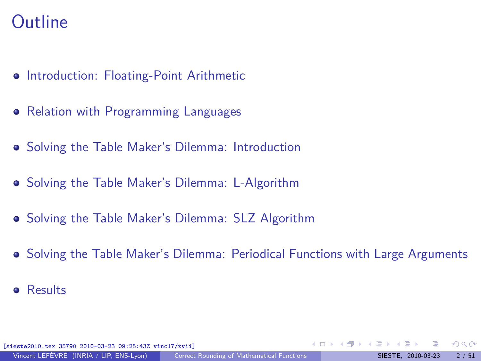## **Outline**

- **[Introduction: Floating-Point Arithmetic](#page-2-0)**
- [Relation with Programming Languages](#page-9-0)
- [Solving the Table Maker's Dilemma: Introduction](#page-28-0)
- [Solving the Table Maker's Dilemma: L-Algorithm](#page-41-0)
- [Solving the Table Maker's Dilemma: SLZ Algorithm](#page-59-0)
- [Solving the Table Maker's Dilemma: Periodical Functions with Large Arguments](#page-65-0)
- **•** [Results](#page-71-0)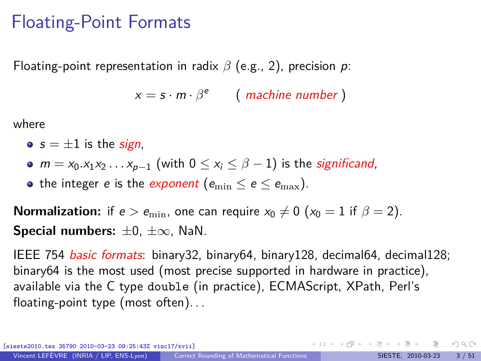### Floating-Point Formats

Floating-point representation in radix *β* (e.g., 2), precision p:

<span id="page-2-0"></span> $x = s \cdot m \cdot \beta^e$  (machine number)

where

- $s = \pm 1$  is the *sign*,
- $\bullet$  *m* = *x*<sub>0</sub>.*x*<sub>1</sub>*x*<sub>2</sub> *. . . x*<sub>*p*−1</sub> (with 0 ≤ *x<sub>i</sub>* ≤ *β* − 1) is the *significand*,
- the integer e is the exponent ( $e_{\min} \le e \le e_{\max}$ ).

**Normalization:** if  $e > e_{\min}$ , one can require  $x_0 \neq 0$  ( $x_0 = 1$  if  $\beta = 2$ ). **Special numbers:** ±0, ±∞, NaN.

IEEE 754 basic formats: binary32, binary64, binary128, decimal64, decimal128; binary64 is the most used (most precise supported in hardware in practice), available via the C type double (in practice), ECMAScript, XPath, Perl's floating-point type (most often). . .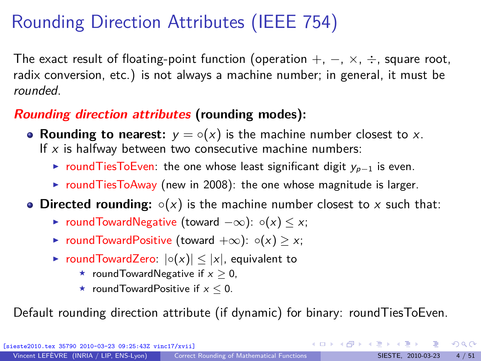# Rounding Direction Attributes (IEEE 754)

The exact result of floating-point function (operation  $+$ ,  $-$ ,  $\times$ ,  $\div$ , square root, radix conversion, etc.) is not always a machine number; in general, it must be rounded.

### **Rounding direction attributes (rounding modes):**

- **Rounding to nearest:**  $y = \circ(x)$  is the machine number closest to x. If  $x$  is halfway between two consecutive machine numbers:
	- ► roundTiesToEven: the one whose least significant digit  $y_{p-1}$  is even.
	- $\triangleright$  round Ties To Away (new in 2008): the one whose magnitude is larger.
- **Directed rounding:**  $\circ$ (x) is the machine number closest to x such that:
	- $\triangleright$  roundTowardNegative (toward  $-\infty$ ):  $\circ(x) \leq x$ ;
	- $\triangleright$  roundTowardPositive (toward  $+\infty$ ):  $\circ$ (x)  $\geq$  x;
	- **► roundTowardZero:**  $|{\circ}(x)| \le |x|$ , equivalent to
		- **★ roundTowardNegative if**  $x > 0$ **.**
		- **★ roundTowardPositive if**  $x < 0$ **.**

Default rounding direction attribute (if dynamic) for binary: roundTiesToEven.

 $\Omega$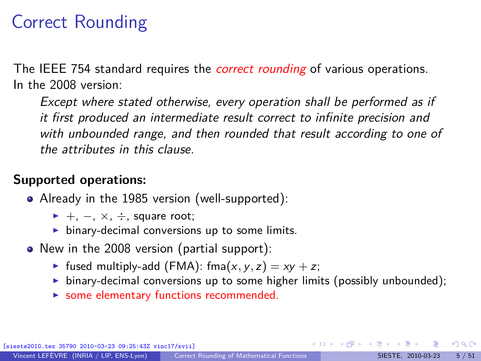# Correct Rounding

The IEEE 754 standard requires the *correct rounding* of various operations. In the 2008 version:

Except where stated otherwise, every operation shall be performed as if it first produced an intermediate result correct to infinite precision and with unbounded range, and then rounded that result according to one of the attributes in this clause.

### **Supported operations:**

- Already in the 1985 version (well-supported):
	- $+$ ,  $-$ ,  $\times$ ,  $\div$ , square root;
	- $\triangleright$  binary-decimal conversions up to some limits.
- New in the 2008 version (partial support):
	- If fused multiply-add (FMA): fma $(x, y, z) = xy + z$ ;
	- $\triangleright$  binary-decimal conversions up to some higher limits (possibly unbounded);
	- $\triangleright$  some elementary functions recommended.

 $\Omega$ 

 $\left\{ \begin{array}{ccc} 1 & 0 & 0 \\ 0 & 1 & 0 \end{array} \right.$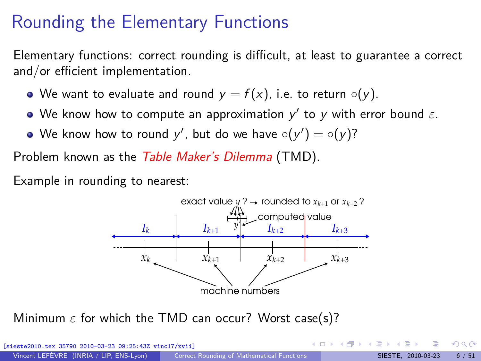# Rounding the Elementary Functions

Elementary functions: correct rounding is difficult, at least to guarantee a correct and/or efficient implementation.

- $\bullet$  We want to evaluate and round  $y = f(x)$ , i.e. to return  $\circ(y)$ .
- We know how to compute an approximation  $y'$  to  $y$  with error bound  $\varepsilon$ .
- We know how to round  $y'$ , but do we have  $\circ(y') = \circ(y)?$

Problem known as the Table Maker's Dilemma (TMD).

Example in rounding to nearest:



Minimum *ε* for which the TMD can occur? Worst case(s)?

| [sieste2010.tex 35790 2010-03-23 09:25:43Z vinc17/xvii] |                                                   |  | - イロト イ母 トイヨ トイヨ トーヨー りんぺ |                           |  |
|---------------------------------------------------------|---------------------------------------------------|--|---------------------------|---------------------------|--|
| Vincent LEFÈVRE (INRIA / LIP, ENS-Lyon)                 | <b>Correct Rounding of Mathematical Functions</b> |  |                           | SIESTE, 2010-03-23 6 / 51 |  |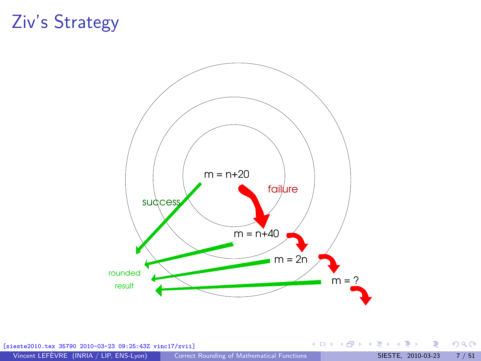## Ziv's Strategy



[sieste2010.tex 35790 2010-03-23 09:25:43Z vinc17/xvii]

É

 $299$ 

イロト イ部 トイミト イミト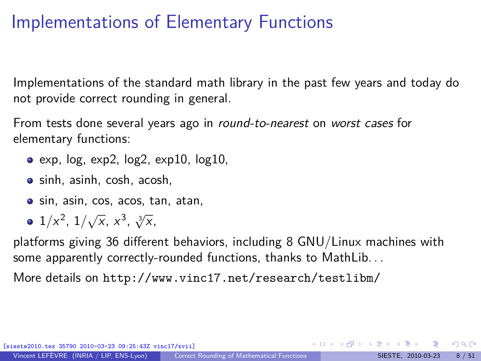# Implementations of Elementary Functions

Implementations of the standard math library in the past few years and today do not provide correct rounding in general.

From tests done several years ago in *round-to-nearest* on *worst cases* for elementary functions:

- $\bullet$  exp, log, exp2, log2, exp10, log10,
- sinh, asinh, cosh, acosh,
- sin, asin, cos, acos, tan, atan,
- $1/x^2$ ,  $1/\sqrt{x}$ ,  $x^3$ ,  $\sqrt[3]{x}$ ,

platforms giving 36 different behaviors, including 8 GNU/Linux machines with some apparently correctly-rounded functions, thanks to MathLib. . .

More details on <http://www.vinc17.net/research/testlibm/>

 $\Omega$ 

 $\mathbf{A} \sqsubseteq \mathbf{B} \rightarrow \mathbf{A} \boxplus \mathbf{B} \rightarrow \mathbf{A} \boxplus \mathbf{B} \rightarrow \mathbf{A} \boxplus \mathbf{B}$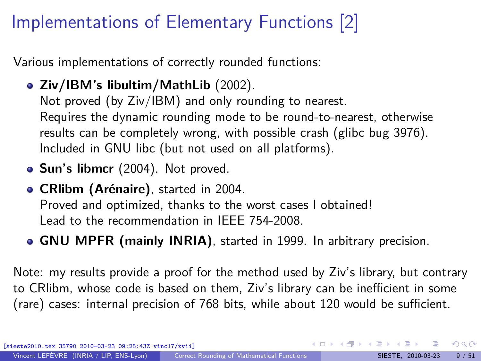# Implementations of Elementary Functions [2]

Various implementations of correctly rounded functions:

- **Ziv/IBM's libultim/MathLib** (2002). Not proved (by Ziv/IBM) and only rounding to nearest. Requires the dynamic rounding mode to be round-to-nearest, otherwise results can be completely wrong, with possible crash [\(glibc bug 3976\)](http://sourceware.org/bugzilla/show_bug.cgi?id=3976). Included in GNU libc (but not used on all platforms).
- **Sun's libmcr** (2004). Not proved.
- **CRlibm (Arénaire)**, started in 2004. Proved and optimized, thanks to the worst cases I obtained! Lead to the recommendation in IEEE 754-2008.
- **GNU MPFR (mainly INRIA)**, started in 1999. In arbitrary precision.

Note: my results provide a proof for the method used by Ziv's library, but contrary to CRlibm, whose code is based on them, Ziv's library can be inefficient in some (rare) cases: internal precision of 768 bits, while about 120 would be sufficient.

[sieste2010.tex 35790 2010-03-23 09:25:43Z vinc17/xvii]

 $\Omega$ 

 $\left\{ \begin{array}{ccc} 1 & 0 & 0 \\ 0 & 1 & 0 \end{array} \right.$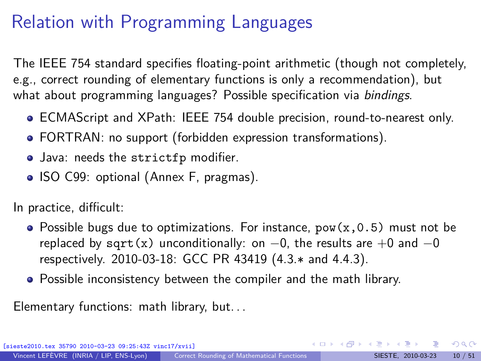# Relation with Programming Languages

The IEEE 754 standard specifies floating-point arithmetic (though not completely, e.g., correct rounding of elementary functions is only a recommendation), but what about programming languages? Possible specification via bindings.

- ECMAScript and XPath: IEEE 754 double precision, round-to-nearest only.
- FORTRAN: no support (forbidden expression transformations).
- Java: needs the strictfp modifier.
- ISO C99: optional (Annex F, pragmas).

In practice, difficult:

- Possible bugs due to optimizations. For instance,  $pow(x,0.5)$  must not be replaced by sqrt(x) unconditionally: on  $-0$ , the results are  $+0$  and  $-0$ respectively. 2010-03-18: [GCC PR 43419](http://gcc.gnu.org/bugzilla/show_bug.cgi?id=43419) (4.3.\* and 4.4.3).
- <span id="page-9-0"></span>Possible inconsistency between the compiler and the math library.

Elementary functions: math library, but. . .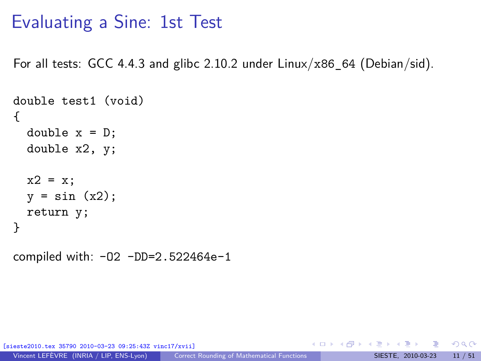### Evaluating a Sine: 1st Test

For all tests: GCC 4.4.3 and glibc 2.10.2 under  $Linux/x86$  64 (Debian/sid).

```
double test1 (void)
{
 double x = D;
  double x2, y;
  x2 = x;y = sin(x2);return y;
}
```
compiled with: -O2 -DD=2.522464e-1

[sieste2010.tex 35790 2010-03-23 09:25:43Z vinc17/xvii]

 $\Omega$ 

K ロ ▶ K 個 ▶ K ミ ▶ K 듣 ▶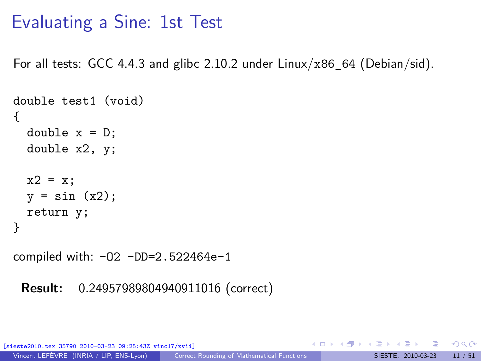### Evaluating a Sine: 1st Test

For all tests: GCC 4.4.3 and glibc 2.10.2 under  $Linux/x86$  64 (Debian/sid).

```
double test1 (void)
{
 double x = D;
 double x2, y;
 x2 = x;y = sin(x2);return y;
}
```
compiled with: -O2 -DD=2.522464e-1

**Result:** 0*.*24957989804940911016 (correct)

35790 2010-03-23 09:25:43Z vinc17/xvii]

 $\Omega$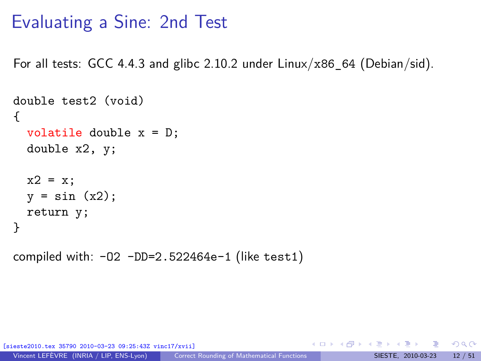### Evaluating a Sine: 2nd Test

For all tests: GCC 4.4.3 and glibc 2.10.2 under  $Linux/x86$  64 (Debian/sid).

```
double test2 (void)
{
  volatile double x = D;
  double x2, y;
  x2 = x;y = sin(x2);return y;
}
```
compiled with:  $-02$   $-DD=2.522464e-1$  (like test1)

35790 2010-03-23 09:25:43Z vinc17/xvii]

 $\Omega$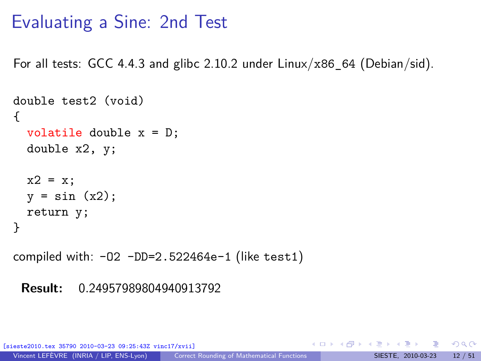### Evaluating a Sine: 2nd Test

For all tests: GCC 4.4.3 and glibc 2.10.2 under  $Linux/x86$  64 (Debian/sid).

```
double test2 (void)
{
 volatile double x = D;
 double x2, y;
 x2 = x;y = sin(x2);return y;
}
```
compiled with:  $-02$   $-DD=2.522464e-1$  (like test1)

#### **Result:** 0*.*24957989804940913792

35790 2010-03-23 09:25:43Z vinc17/xvii]

 $\Omega$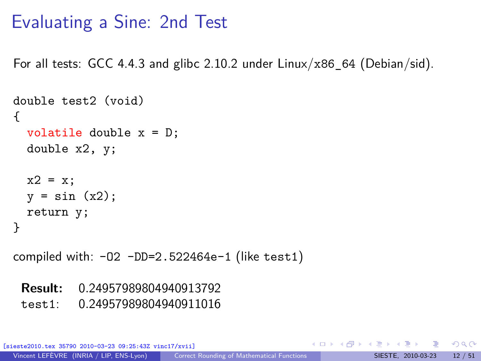### Evaluating a Sine: 2nd Test

For all tests: GCC 4.4.3 and glibc 2.10.2 under  $Linux/x86$  64 (Debian/sid).

```
double test2 (void)
{
 volatile double x = D;
 double x2, y;
 x2 = x;y = \sin(x2):
 return y;
}
```
compiled with:  $-02$   $-DD=2.522464e-1$  (like test1)

**Result:** 0*.*24957989804940913792

test1: 0*.*24957989804940911016

35790 2010-03-23 09:25:43Z vinc17/xvii]

 $\Omega$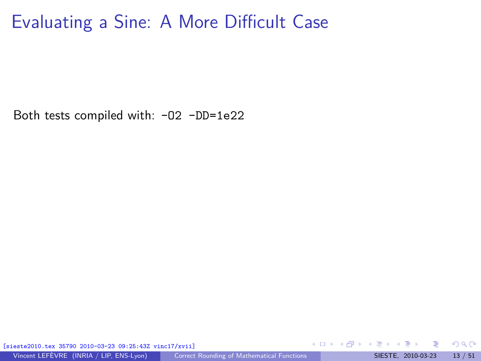Both tests compiled with: -O2 -DD=1e22

[sieste2010.tex 35790 2010-03-23 09:25:43Z vinc17/xvii]

Vincent LEFÈVRE (INRIA / LIP, ENS-Lyon) [Correct Rounding of Mathematical Functions](#page-0-0) SIESTE, 2010-03-23 13 / 51

 $\Omega$ 

イロト イ何 ト イヨ ト イヨ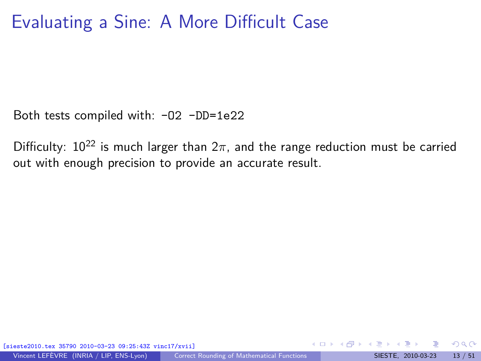Both tests compiled with: -02 -DD=1e22

Difficulty:  $10^{22}$  is much larger than  $2\pi$ , and the range reduction must be carried out with enough precision to provide an accurate result.

[sieste2010.tex 35790 2010-03-23 09:25:43Z vinc17/xvii]

 $\Omega$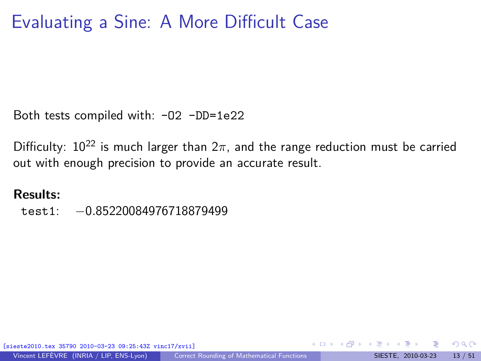Both tests compiled with: -02 -DD=1e22

Difficulty:  $10^{22}$  is much larger than  $2\pi$ , and the range reduction must be carried out with enough precision to provide an accurate result.

#### **Results:**

test1: −0*.*85220084976718879499

[sieste2010.tex 35790 2010-03-23 09:25:43Z vinc17/xvii]

 $\Omega$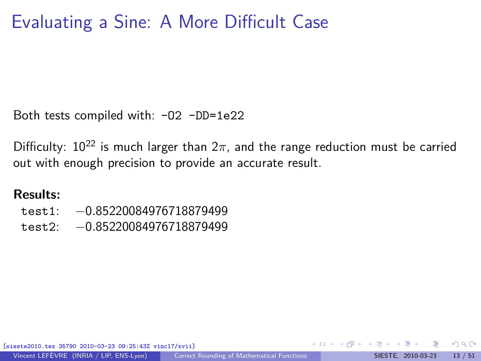Both tests compiled with: -02 -DD=1e22

Difficulty:  $10^{22}$  is much larger than  $2\pi$ , and the range reduction must be carried out with enough precision to provide an accurate result.

#### **Results:**

- test1: −0*.*85220084976718879499
- test2: −0*.*85220084976718879499

[sieste2010.tex 35790 2010-03-23 09:25:43Z vinc17/xvii]

 $\Omega$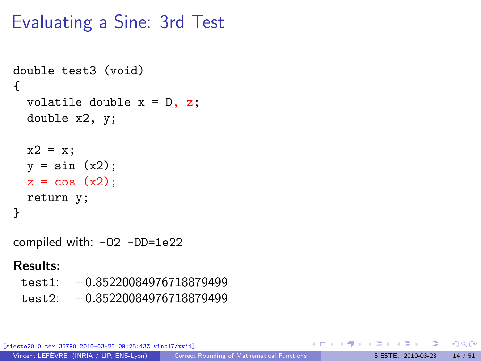# Evaluating a Sine: 3rd Test

```
double test3 (void)
{
  volatile double x = D, z;
  double x2, y;
 x2 = x;y = sin(x2);z = cos(x2);return y;
}
compiled with: -O2 -DD=1e22
```
#### **Results:**

test1: −0*.*85220084976718879499 test2: −0*.*85220084976718879499

[sieste2010.tex 35790 2010-03-23 09:25:43Z vinc17/xvii]

B

 $\Omega$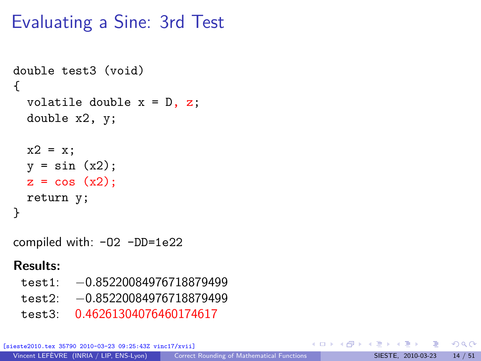# Evaluating a Sine: 3rd Test

```
double test3 (void)
{
  volatile double x = D, z;
  double x2, y;
 x2 = x;y = sin(x2);z = cos(x2);return y;
}
compiled with: -O2 -DD=1e22
```
#### **Results:**

- test1: −0*.*85220084976718879499
- test2: −0*.*85220084976718879499
- test3: 0*.*46261304076460174617

[sieste2010.tex 35790 2010-03-23 09:25:43Z vinc17/xvii]

目

 $\Omega$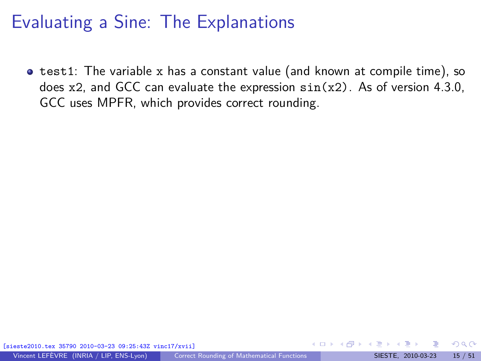**•** test1: The variable x has a constant value (and known at compile time), so does  $x2$ , and GCC can evaluate the expression  $sin(x2)$ . As of version 4.3.0, GCC uses MPFR, which provides correct rounding.

 $\Omega$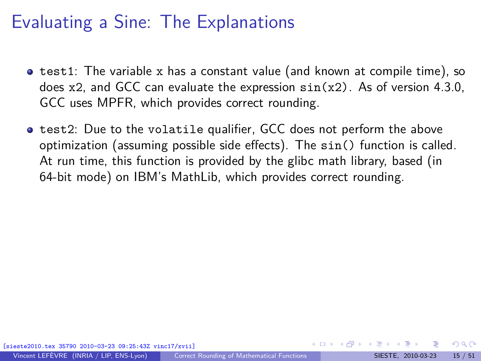- $\bullet$  test1: The variable x has a constant value (and known at compile time), so does  $x2$ , and GCC can evaluate the expression  $sin(x2)$ . As of version 4.3.0, GCC uses MPFR, which provides correct rounding.
- **test2:** Due to the volatile qualifier, GCC does not perform the above optimization (assuming possible side effects). The sin() function is called. At run time, this function is provided by the glibc math library, based (in 64-bit mode) on IBM's MathLib, which provides correct rounding.

 $\Omega$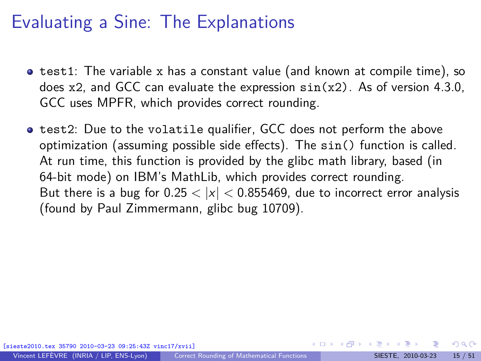- $\bullet$  test1: The variable x has a constant value (and known at compile time), so does  $x2$ , and GCC can evaluate the expression  $sin(x2)$ . As of version 4.3.0, GCC uses MPFR, which provides correct rounding.
- **test2:** Due to the volatile qualifier, GCC does not perform the above optimization (assuming possible side effects). The sin() function is called. At run time, this function is provided by the glibc math library, based (in 64-bit mode) on IBM's MathLib, which provides correct rounding. But there is a bug for  $0.25 < |x| < 0.855469$ , due to incorrect error analysis (found by Paul Zimmermann, [glibc bug 10709\)](http://sourceware.org/bugzilla/show_bug.cgi?id=10709).

 $\Omega$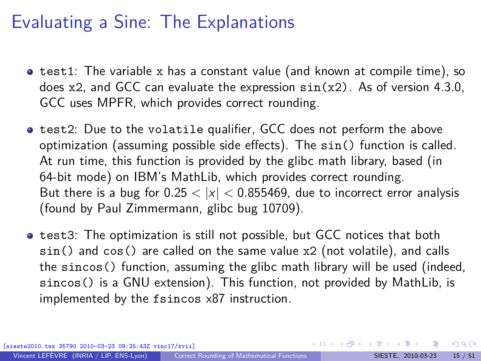- $\bullet$  test1: The variable x has a constant value (and known at compile time), so does  $x2$ , and GCC can evaluate the expression  $sin(x2)$ . As of version 4.3.0, GCC uses MPFR, which provides correct rounding.
- **test2:** Due to the volatile qualifier, GCC does not perform the above optimization (assuming possible side effects). The sin() function is called. At run time, this function is provided by the glibc math library, based (in 64-bit mode) on IBM's MathLib, which provides correct rounding. But there is a bug for  $0.25 < |x| < 0.855469$ , due to incorrect error analysis (found by Paul Zimmermann, [glibc bug 10709\)](http://sourceware.org/bugzilla/show_bug.cgi?id=10709).
- **•** test3: The optimization is still not possible, but GCC notices that both sin() and cos() are called on the same value x2 (not volatile), and calls the sincos() function, assuming the glibc math library will be used (indeed, sincos() is a GNU extension). This function, not provided by MathLib, is implemented by the fsincos x87 instruction.

[sieste2010.tex 35790 2010-03-23 09:25:43Z vinc17/xvii]

 $\Omega$ 

**K ロ ト K 伺 ト K ヨ ト K ヨ ト**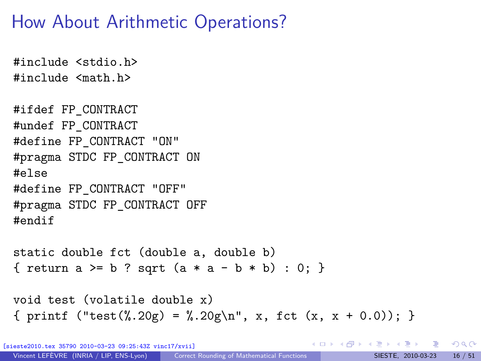# How About Arithmetic Operations?

```
#include <stdio.h>
#include <math.h>
#ifdef FP_CONTRACT
#undef FP_CONTRACT
#define FP_CONTRACT "ON"
#pragma STDC FP_CONTRACT ON
#else
#define FP_CONTRACT "OFF"
#pragma STDC FP_CONTRACT OFF
#endif
static double fct (double a, double b)
{ return a >= b ? sqrt (a * a - b * b) : 0; }
void test (volatile double x)
```

```
{ printf ("test(%.20g) = %.20g\n", x, fct (x, x + 0.0); }
```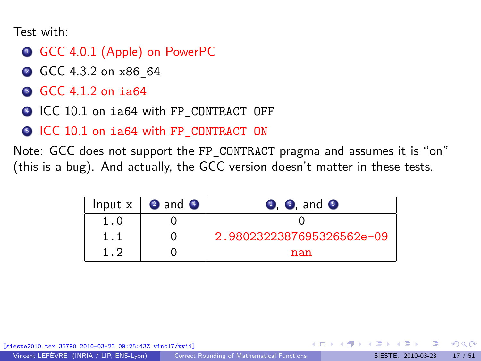Test with:

- **Q GCC 4.0.1 (Apple) on PowerPC**
- **2** GCC 4.3.2 on x86 64
- <sup>3</sup> GCC 4.1.2 on ia64
- <sup>4</sup> ICC 10.1 on ia64 with FP\_CONTRACT\_OFF
- **5 ICC 10.1 on ia64 with FP\_CONTRACT ON**

Note: GCC does not support the FP\_CONTRACT pragma and assumes it is "on" [\(this is a bug\)](http://gcc.gnu.org/bugzilla/show_bug.cgi?id=37845). And actually, the GCC version doesn't matter in these tests.

|     | Input $x \mid 2$ and $\bullet$ | $\bullet$ , $\bullet$ , and $\bullet$ |
|-----|--------------------------------|---------------------------------------|
| 1.0 |                                |                                       |
|     |                                | 2.9802322387695326562e-09             |
| 1.2 |                                | nan                                   |

[sieste2010.tex 35790 2010-03-23 09:25:43Z vinc17/xvii]

 $\Omega$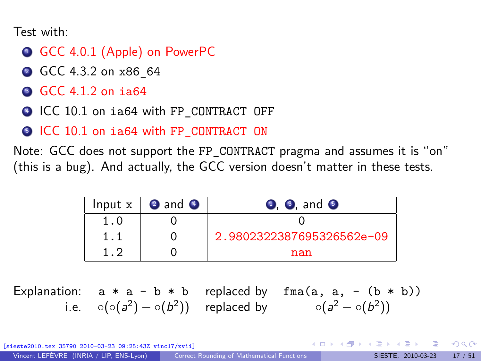Test with:

- GCC 4.0.1 (Apple) on PowerPC
- **2** GCC 4.3.2 on x86 64
- <sup>3</sup> GCC 4.1.2 on ia64
- $\bigcirc$  ICC 10.1 on ia64 with FP\_CONTRACT\_OFF
- **5 ICC 10.1 on ia64 with FP\_CONTRACT ON**

Note: GCC does not support the FP\_CONTRACT pragma and assumes it is "on" [\(this is a bug\)](http://gcc.gnu.org/bugzilla/show_bug.cgi?id=37845). And actually, the GCC version doesn't matter in these tests.

|     | Input $x \mid 2$ and $\bullet$ | $\bullet$ , $\bullet$ , and $\bullet$ |
|-----|--------------------------------|---------------------------------------|
| 1.0 |                                |                                       |
|     |                                | 2.9802322387695326562e-09             |
| 1.2 |                                | nan                                   |

Explanation:  $a * a - b * b$  replaced by  $fma(a, a, - (b * b))$ i.e.  $\circ(\circ(a^2) - \circ(b^2))$  replaced by  $\circ(a^2 - \circ(b^2))$ 

[sieste2010.tex 35790 2010-03-23 09:25:43Z vinc17/xvii]

 $\Omega$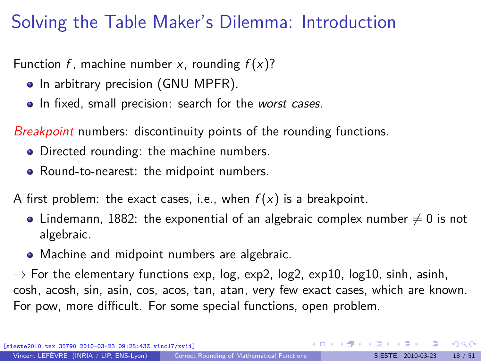# Solving the Table Maker's Dilemma: Introduction

Function f, machine number x, rounding  $f(x)$ ?

- In arbitrary precision (GNU MPFR).
- In fixed, small precision: search for the worst cases.

Breakpoint numbers: discontinuity points of the rounding functions.

- Directed rounding: the machine numbers.
- Round-to-nearest: the midpoint numbers.

A first problem: the exact cases, i.e., when  $f(x)$  is a breakpoint.

- Lindemann, 1882: the exponential of an algebraic complex number  $\neq 0$  is not algebraic.
- Machine and midpoint numbers are algebraic.

 $\rightarrow$  For the elementary functions exp, log, exp2, log2, exp10, log10, sinh, asinh, cosh, acosh, sin, asin, cos, acos, tan, atan, very few exact cases, which are known. For pow, more difficult. For some special functions, open problem.

[sieste2010.tex 35790 2010-03-23 09:25:43Z vinc17/xvii]

<span id="page-28-0"></span> $\Omega$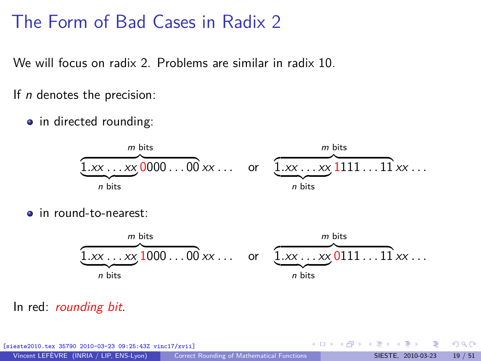### The Form of Bad Cases in Radix 2

We will focus on radix 2. Problems are similar in radix 10.

If *n* denotes the precision:

• in directed rounding:



**o** in round-to-nearest:



#### In red: *rounding bit*.

| [sieste2010.tex 35790 2010-03-23 09:25:43Z vinc17/xvii] |                                            |  | - ∢ ロ ▶ ∢ 何 ▶ ∢ ヨ ▶ ∢ ヨ ▶ - ヨ - イ) ౸ (^ |  |                            |
|---------------------------------------------------------|--------------------------------------------|--|-----------------------------------------|--|----------------------------|
| Vincent LEFÈVRE (INRIA / LIP, ENS-Lyon)                 | Correct Rounding of Mathematical Functions |  |                                         |  | SIESTE, 2010-03-23 19 / 51 |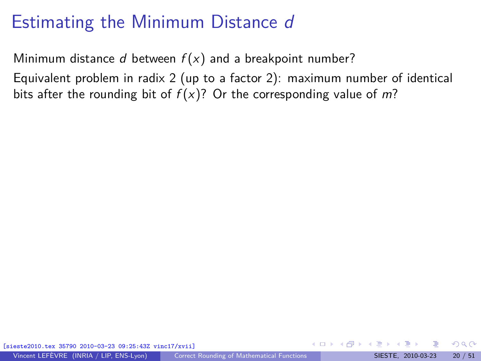Minimum distance d between  $f(x)$  and a breakpoint number?

Equivalent problem in radix 2 (up to a factor 2): maximum number of identical bits after the rounding bit of  $f(x)$ ? Or the corresponding value of m?

[sieste2010.tex 35790 2010-03-23 09:25:43Z vinc17/xvii]

 $\Omega$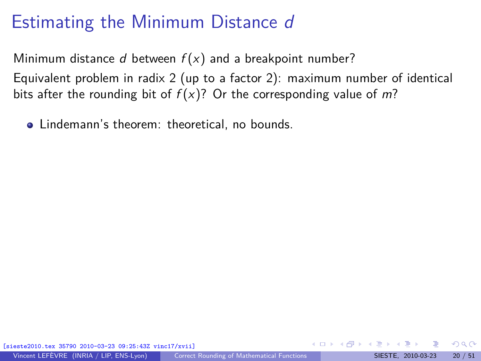Minimum distance d between  $f(x)$  and a breakpoint number? Equivalent problem in radix 2 (up to a factor 2): maximum number of identical bits after the rounding bit of  $f(x)$ ? Or the corresponding value of m?

• Lindemann's theorem: theoretical, no bounds.

[sieste2010.tex 35790 2010-03-23 09:25:43Z vinc17/xvii]

 $\Omega$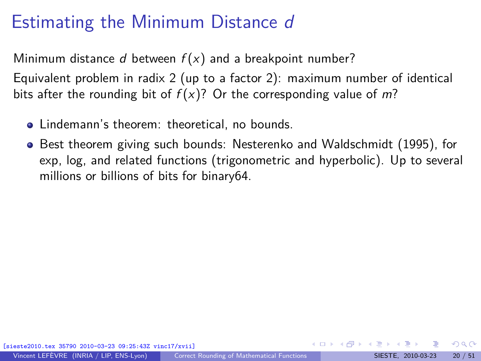Minimum distance d between  $f(x)$  and a breakpoint number? Equivalent problem in radix 2 (up to a factor 2): maximum number of identical bits after the rounding bit of  $f(x)$ ? Or the corresponding value of m?

- Lindemann's theorem: theoretical, no bounds.
- Best theorem giving such bounds: Nesterenko and Waldschmidt (1995), for exp, log, and related functions (trigonometric and hyperbolic). Up to several millions or billions of bits for binary64.

 $\Omega$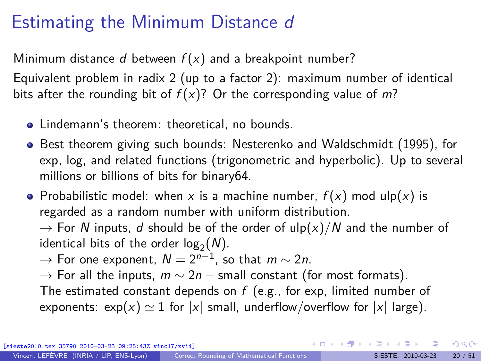Minimum distance d between  $f(x)$  and a breakpoint number? Equivalent problem in radix 2 (up to a factor 2): maximum number of identical

bits after the rounding bit of  $f(x)$ ? Or the corresponding value of m?

- Lindemann's theorem: theoretical, no bounds.
- Best theorem giving such bounds: Nesterenko and Waldschmidt (1995), for exp, log, and related functions (trigonometric and hyperbolic). Up to several millions or billions of bits for binary64.
- Probabilistic model: when x is a machine number,  $f(x)$  mod ulp(x) is regarded as a random number with uniform distribution.

 $\rightarrow$  For N inputs, d should be of the order of ulp(x)/N and the number of identical bits of the order  $log_2(N)$ .

- $\rightarrow$  For one exponent,  $N=2^{n-1}$ , so that  $m\sim 2n$ .
- $\rightarrow$  For all the inputs,  $m \sim 2n +$  small constant (for most formats). The estimated constant depends on  $f$  (e.g., for exp, limited number of
- exponents:  $\exp(x) \simeq 1$  for  $|x|$  small, underflow/overflow for  $|x|$  large).

 $\Omega$ 

K ロ > K 個 > K 경 > K 경 > X 경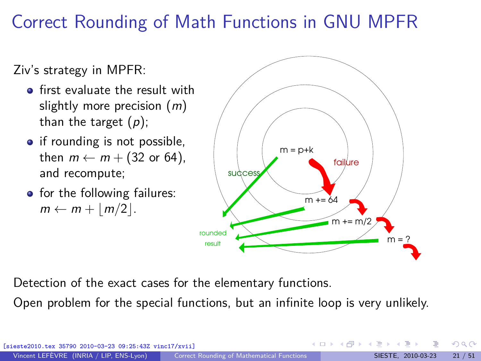# Correct Rounding of Math Functions in GNU MPFR

Ziv's strategy in MPFR:

- **•** first evaluate the result with slightly more precision  $(m)$ than the target  $(p)$ ;
- if rounding is not possible, then  $m \leftarrow m + (32 \text{ or } 64)$ , and recompute;
- for the following failures:  $m \leftarrow m + |m/2|$ .



Detection of the exact cases for the elementary functions.

Open problem for the special functions, but an infinite loop is very unlikely.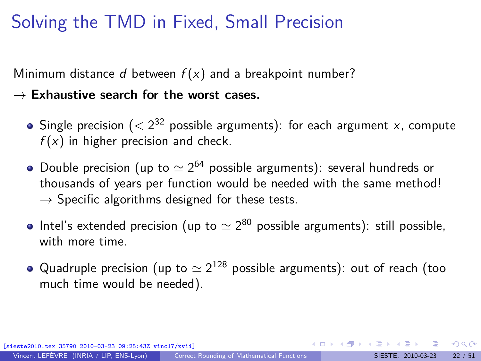# Solving the TMD in Fixed, Small Precision

Minimum distance d between  $f(x)$  and a breakpoint number?

#### $\rightarrow$  Exhaustive search for the worst cases.

- Single precision  $( $2^{32}$  possible arguments): for each argument x, compute$  $f(x)$  in higher precision and check.
- Double precision (up to  $\simeq 2^{64}$  possible arguments): several hundreds or thousands of years per function would be needed with the same method!  $\rightarrow$  Specific algorithms designed for these tests.
- Intel's extended precision (up to  $\simeq 2^{80}$  possible arguments): still possible, with more time.
- Quadruple precision (up to  $\simeq 2^{128}$  possible arguments): out of reach (too much time would be needed).

 $209$ 

 $A \equiv \begin{pmatrix} 1 & 0 & 0 \\ 0 & 1 & 0 \\ 0 & 0 & 0 \end{pmatrix} \in A \Rightarrow A \equiv \begin{pmatrix} 1 & 0 & 0 \\ 0 & 1 & 0 \\ 0 & 0 & 0 \end{pmatrix} \in A$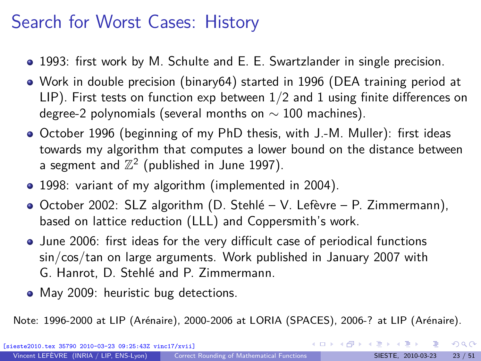### Search for Worst Cases: History

- 1993: first work by M. Schulte and E. E. Swartzlander in single precision.
- Work in double precision (binary64) started in 1996 (DEA training period at LIP). First tests on function exp between 1*/*2 and 1 using finite differences on degree-2 polynomials (several months on  $\sim$  100 machines).
- October 1996 (beginning of my PhD thesis, with J.-M. Muller): first ideas towards my algorithm that computes a lower bound on the distance between a segment and  $\mathbb{Z}^2$  (published in June 1997).
- 1998: variant of my algorithm (implemented in 2004).
- October 2002: SLZ algorithm (D. Stehlé V. Lefèvre P. Zimmermann), based on lattice reduction (LLL) and Coppersmith's work.
- June 2006: first ideas for the very difficult case of periodical functions sin/cos/tan on large arguments. Work published in January 2007 with G. Hanrot, D. Stehlé and P. Zimmermann.
- May 2009: heuristic bug detections.

Note: 1996-2000 at LIP (Arénaire), 2000-2006 at LORIA (SPACES), 2006-? at LIP (Arénaire).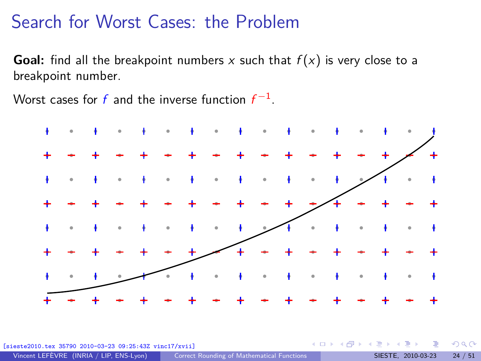#### Search for Worst Cases: the Problem

**Goal:** find all the breakpoint numbers x such that  $f(x)$  is very close to a breakpoint number.

Worst cases for  $f$  and the inverse function  $f^{-1}$ .



 $25:43Z$  vinc17/xvii]

 $-10.5$ 

 $\Omega$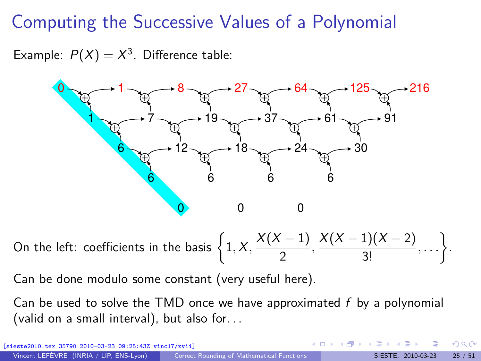## Computing the Successive Values of a Polynomial

Example:  $P(X) = X^3$ . Difference table:



On the left: coefficients in the basis  $\left\{1, X, \frac{X(X-1)}{2}\right\}$  $\frac{(x-1)}{2}, \frac{X(X-1)(X-2)}{3!}$  $\frac{1)(X-2)}{3!}, \ldots \bigg\}$ .

Can be done modulo some constant (very useful here).

Can be used to solve the TMD once we have approximated  $f$  by a polynomial (valid on a small interval), but also for. . .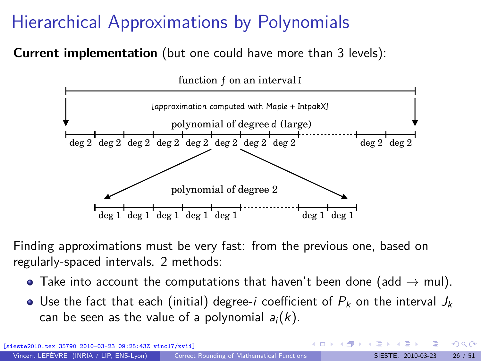# Hierarchical Approximations by Polynomials

**Current implementation** (but one could have more than 3 levels):



Finding approximations must be very fast: from the previous one, based on regularly-spaced intervals. 2 methods:

- $\bullet$  Take into account the computations that haven't been done (add  $\rightarrow$  mul).
- Use the fact that each (initial) degree-i coefficient of  $P_k$  on the interval  $J_k$ can be seen as the value of a polynomial  $a_i(k)$ .

 $\Omega$ 

**K ロ ト K 伺 ト K ヨ ト K**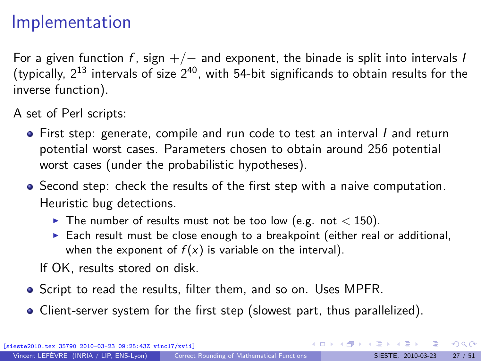#### Implementation

For a given function f, sign  $+/-$  and exponent, the binade is split into intervals I (typically,  $2^{13}$  intervals of size  $2^{40}$ , with 54-bit significands to obtain results for the inverse function).

A set of Perl scripts:

- First step: generate, compile and run code to test an interval I and return potential worst cases. Parameters chosen to obtain around 256 potential worst cases (under the probabilistic hypotheses).
- Second step: check the results of the first step with a naive computation. Heuristic bug detections.
	- $\blacktriangleright$  The number of results must not be too low (e.g. not  $<$  150).
	- $\triangleright$  Each result must be close enough to a breakpoint (either real or additional, when the exponent of  $f(x)$  is variable on the interval).

If OK, results stored on disk.

- **•** Script to read the results, filter them, and so on. Uses MPFR.
- Client-server system for the first step (slowest part, thus parallelized).

 $\Omega$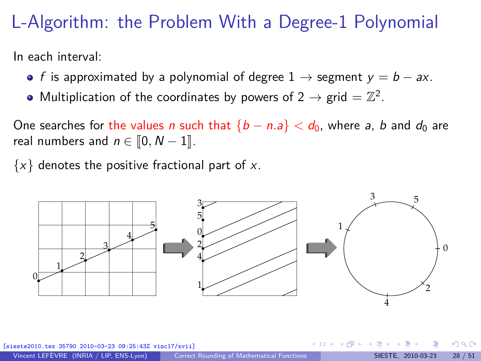#### L-Algorithm: the Problem With a Degree-1 Polynomial

In each interval:

- f is approximated by a polynomial of degree  $1 \rightarrow$  segment  $y = b ax$ .
- Multiplication of the coordinates by powers of  $2 \rightarrow \text{grid} = \mathbb{Z}^2$ .

One searches for the values *n* such that  ${b - n.a} < d_0$ , where *a*, *b* and  $d_0$  are real numbers and  $n \in [0, N - 1]$ .

 $\{x\}$  denotes the positive fractional part of x.

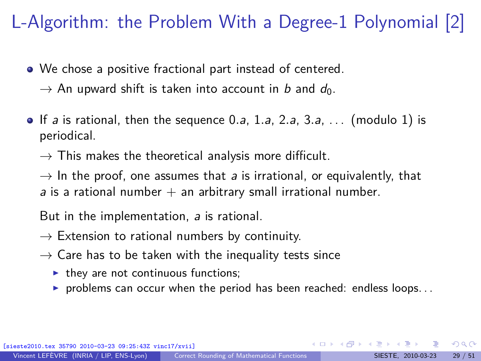# L-Algorithm: the Problem With a Degree-1 Polynomial [2]

- We chose a positive fractional part instead of centered.
	- $\rightarrow$  An upward shift is taken into account in b and  $d_0$ .
- If a is rational, then the sequence 0*.*a, 1*.*a, 2*.*a, 3*.*a, . . . (modulo 1) is periodical.
	- $\rightarrow$  This makes the theoretical analysis more difficult.

 $\rightarrow$  In the proof, one assumes that a is irrational, or equivalently, that a is a rational number  $+$  an arbitrary small irrational number.

But in the implementation, a is rational.

- $\rightarrow$  Extension to rational numbers by continuity.
- $\rightarrow$  Care has to be taken with the inequality tests since
	- $\blacktriangleright$  they are not continuous functions;
	- problems can occur when the period has been reached: endless loops...

 $\Omega$ 

イロト イ押 トイヨ トイヨト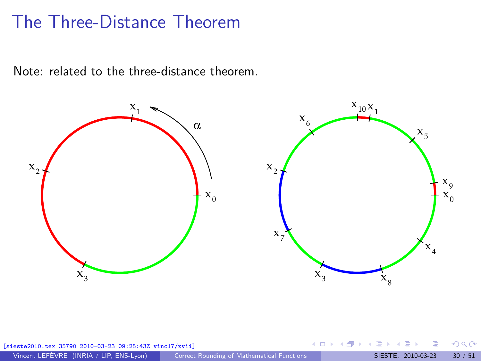#### The Three-Distance Theorem

Note: related to the three-distance theorem.



| [sieste2010.tex 35790 2010-03-23 09:25:43Z vinc17/xvii] |                                            | - ◀ ロ ▶ - ◀ 同 ▶ - ◀ 로 ▶ - ◀ 로 ▶ - - 로 - - - ≯) Q( \* - |  |
|---------------------------------------------------------|--------------------------------------------|--------------------------------------------------------|--|
| Vincent LEFÈVRE (INRIA / LIP, ENS-Lyon)                 | Correct Rounding of Mathematical Functions | SIESTE. 2010-03-23 30 / 51                             |  |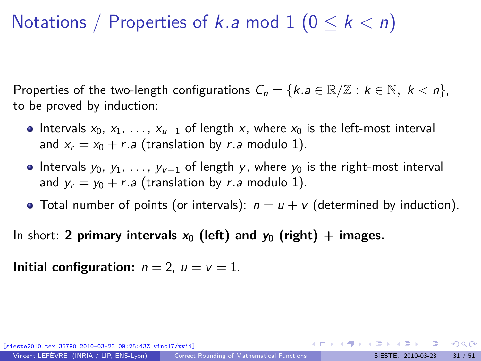## Notations / Properties of k*.*a mod 1 (0 ≤ k *<* n)

Properties of the two-length configurations  $C_n = \{k.a \in \mathbb{R}/\mathbb{Z} : k \in \mathbb{N}, k < n\},\$ to be proved by induction:

- Intervals  $x_0, x_1, \ldots, x_{u-1}$  of length x, where  $x_0$  is the left-most interval and  $x_r = x_0 + r.a$  (translation by r.a modulo 1).
- Intervals  $y_0, y_1, \ldots, y_{\nu-1}$  of length y, where  $y_0$  is the right-most interval and  $y_r = y_0 + r.a$  (translation by r.a modulo 1).
- Total number of points (or intervals):  $n = u + v$  (determined by induction).

In short: **2 primary intervals**  $x_0$  (left) and  $y_0$  (right) + images.

**Initial configuration:**  $n = 2$ ,  $u = v = 1$ .

[sieste2010.tex 35790 2010-03-23 09:25:43Z vinc17/xvii]

 $\Omega$ 

 $A \equiv \mathbf{1} + \mathbf{1} \oplus \mathbf{1} + \mathbf{1} \oplus \mathbf{1} + \mathbf{1} \oplus \mathbf{1} + \mathbf{1} \oplus \mathbf{1} + \mathbf{1} \oplus \mathbf{1} + \mathbf{1} \oplus \mathbf{1} + \mathbf{1} \oplus \mathbf{1} + \mathbf{1} \oplus \mathbf{1} + \mathbf{1} \oplus \mathbf{1} + \mathbf{1} \oplus \mathbf{1} + \mathbf{1} \oplus \mathbf{1} + \mathbf{1} \oplus \mathbf{1} + \mathbf{1} \oplus \mathbf{1} + \math$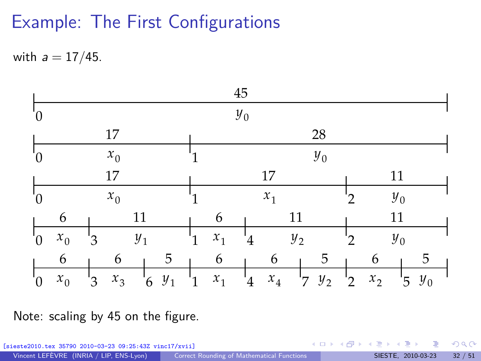## Example: The First Configurations

with a = 17*/*45.



Note: scaling by 45 on the figure.

**K ロ ト K 御 ト K ミ ト**  $299$ [sieste2010.tex 35790 2010-03-23 09:25:43Z vinc17/xvii] Vincent LEFÈVRE (INRIA / LIP, ENS-Lyon) [Correct Rounding of Mathematical Functions](#page-0-0) SIESTE, 2010-03-23 32 / 51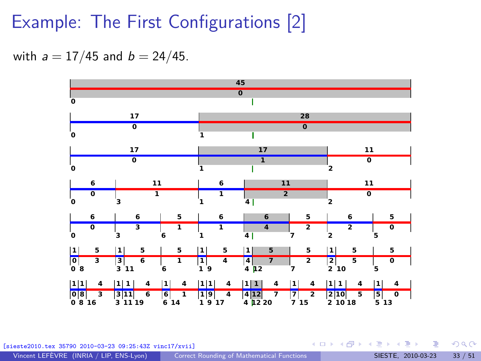### Example: The First Configurations [2]

with  $a = 17/45$  and  $b = 24/45$ .



[sieste2010.tex 35790 2010-03-23 09:25:43Z vinc17/xvii]

Vincent LEFÈVRE (INRIA / LIP, ENS-Lyon) [Correct Rounding of Mathematical Functions](#page-0-0) SIESTE, 2010-03-23 33 / 51

 $\Omega$ 

イロト イ何 ト イヨ ト イヨ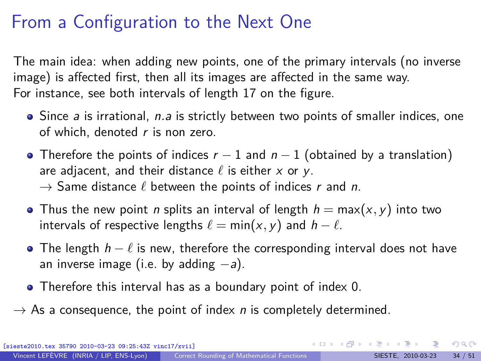#### From a Configuration to the Next One

The main idea: when adding new points, one of the primary intervals (no inverse image) is affected first, then all its images are affected in the same way. For instance, see both intervals of length 17 on the figure.

- Since *a* is irrational, *n.a* is strictly between two points of smaller indices, one of which, denoted  $r$  is non zero.
- Therefore the points of indices  $r 1$  and  $n 1$  (obtained by a translation) are adjacent, and their distance  $\ell$  is either x or y.  $\rightarrow$  Same distance  $\ell$  between the points of indices r and n.
- **•** Thus the new point *n* splits an interval of length  $h = max(x, y)$  into two intervals of respective lengths  $\ell = \min(x, y)$  and  $h - \ell$ .
- The length  $h \ell$  is new, therefore the corresponding interval does not have an inverse image (i.e. by adding  $-a$ ).
- Therefore this interval has as a boundary point of index 0.
- $\rightarrow$  As a consequence, the point of index *n* is completely determined.

 $QQ$ 

 $A \equiv \mathbf{1} + \mathbf{1} \oplus \mathbf{1} + \mathbf{1} \oplus \mathbf{1} + \mathbf{1} \oplus \mathbf{1} + \mathbf{1} \oplus \mathbf{1} + \mathbf{1} \oplus \mathbf{1} + \mathbf{1} \oplus \mathbf{1} + \mathbf{1} \oplus \mathbf{1} + \mathbf{1} \oplus \mathbf{1} + \mathbf{1} \oplus \mathbf{1} + \mathbf{1} \oplus \mathbf{1} + \mathbf{1} \oplus \mathbf{1} + \mathbf{1} \oplus \mathbf{1} + \mathbf{1} \oplus \mathbf{1} + \math$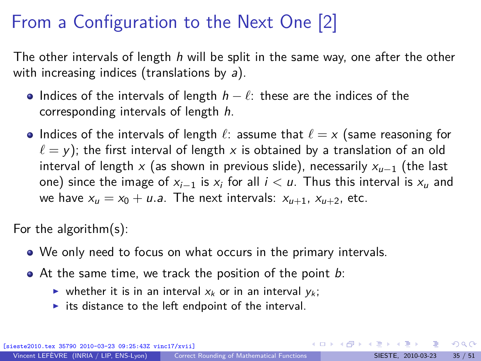# From a Configuration to the Next One [2]

The other intervals of length  $h$  will be split in the same way, one after the other with increasing indices (translations by  $a$ ).

- Indices of the intervals of length  $h \ell$ : these are the indices of the corresponding intervals of length h.
- Indices of the intervals of length  $\ell$ : assume that  $\ell = x$  (same reasoning for  $\ell = y$ ); the first interval of length x is obtained by a translation of an old interval of length x (as shown in previous slide), necessarily  $x_{u-1}$  (the last one) since the image of  $x_{i-1}$  is  $x_i$  for all  $i < u$ . Thus this interval is  $x_u$  and we have  $x_u = x_0 + u.a$ . The next intervals:  $x_{u+1}$ ,  $x_{u+2}$ , etc.

For the algorithm(s):

- We only need to focus on what occurs in the primary intervals.
- $\bullet$  At the same time, we track the position of the point  $b$ :
	- ightharpoonup whether it is in an interval  $x_k$  or in an interval  $y_k$ ;
	- its distance to the left endpoint of the interval.

 $\Omega$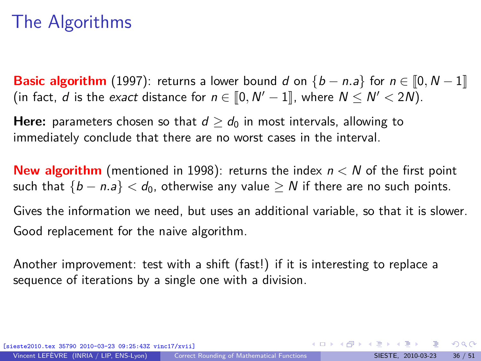### The Algorithms

**Basic algorithm** (1997): returns a lower bound d on  $\{b - n \cdot a\}$  for  $n \in [0, N - 1]$ (in fact, *d* is the *exact* distance for  $n \in [0, N' - 1]$ , where  $N \le N' < 2N$ ).

**Here:** parameters chosen so that  $d > d_0$  in most intervals, allowing to immediately conclude that there are no worst cases in the interval.

**New algorithm** (mentioned in 1998): returns the index n *<* N of the first point such that  ${b - n.a} < d_0$ , otherwise any value  $\geq N$  if there are no such points.

Gives the information we need, but uses an additional variable, so that it is slower. Good replacement for the naive algorithm.

Another improvement: test with a shift (fast!) if it is interesting to replace a sequence of iterations by a single one with a division.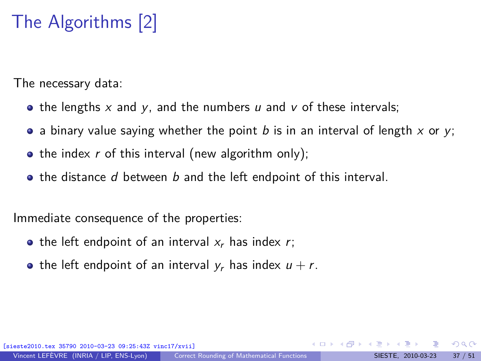# The Algorithms [2]

The necessary data:

- the lengths  $x$  and  $y$ , and the numbers  $u$  and  $v$  of these intervals;
- a binary value saying whether the point b is in an interval of length x or y;
- the index  $r$  of this interval (new algorithm only);
- $\bullet$  the distance d between b and the left endpoint of this interval.

Immediate consequence of the properties:

- the left endpoint of an interval  $x_r$  has index r;
- the left endpoint of an interval  $y_r$  has index  $u + r$ .

(010-03-23 09:25:43Z vinc17/xvii

 $\Omega$ 

イロメ イ押メ イモメ イモメ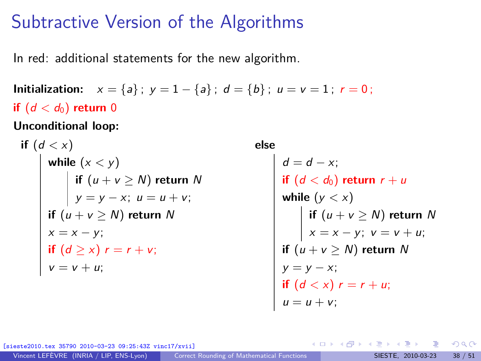#### Subtractive Version of the Algorithms

In red: additional statements for the new algorithm.

**Initialization:**  $x = \{a\}$ ;  $y = 1 - \{a\}$ ;  $d = \{b\}$ ;  $u = v = 1$ ;  $r = 0$ ; **if**  $(d < d_0)$  **return** 0

**Unconditional loop:**

\n
$$
\text{if } (d < x)
$$
\n

\n\n $\text{while } (x < y)$ \n

\n\n $\text{if } (u + v \geq N) \text{ return } N$ \n

\n\n $\text{if } (u + v \geq N) \text{ return } N$ \n

\n\n $\text{if } (u + v \geq N) \text{ return } N$ \n

\n\n $\text{if } (d \geq x) \text{ } r = r + v;$ \n

\n\n $\text{if } (d \geq x) \text{ } r = r + v;$ \n

\n\n $\text{if } v = v + u;$ \n

**else**

 $d = d - x;$  $\textsf{if}~\left( d < d_0 \right)$  return  $r + u$ **while** (y *<* x) **if** (u + v ≥ N) **return** N  $x = x - y$ ;  $v = v + u$ ; **if** (u + v ≥ N) **return** N  $y = y - x;$ **if**  $(d < x)$   $r = r + u$ ;  $u = u + v;$ 

K ロト K 御 ト K 君 ト K 君 K

 $[09:25:43Z$  vinc17/xvii]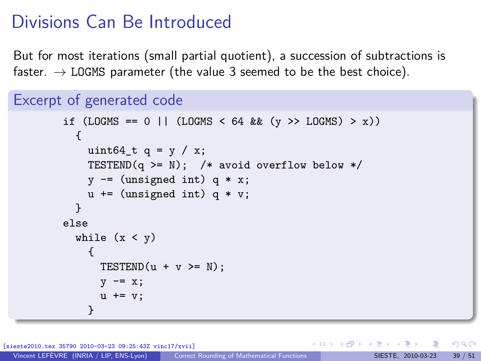## Divisions Can Be Introduced

But for most iterations (small partial quotient), a succession of subtractions is faster.  $\rightarrow$  LOGMS parameter (the value 3 seemed to be the best choice).

```
Excerpt of generated code
```

```
if (LOGMS == 0 || (LOGMS < 64 && (y >> LOGMS) > x))
  {
   uint64_t q = y / x;
   TESTEND(q >= N); /* avoid overflow below */
    y -= (unsigned int) q * x;
   u += (unsigned int) q * v;
  }
else
 while (x < y){
      TESTEND(u + v) = N;
      v -= x;
      u += v:
    }
```
[sieste2010.tex 35790 2010-03-23 09:25:43Z vinc17/xvii]

 $\Omega$ 

イロト イ押 トイヨ トイヨト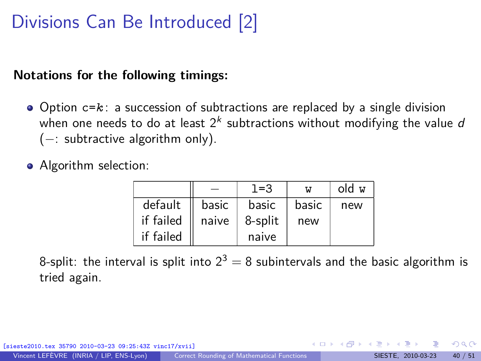# Divisions Can Be Introduced [2]

#### **Notations for the following timings:**

- Option c=*k* : a succession of subtractions are replaced by a single division when one needs to do at least  $2^k$  subtractions without modifying the value  $\emph{d}$ (−: subtractive algorithm only).
- Algorithm selection:

|           |       | $1 = 3$ | W     | old w |
|-----------|-------|---------|-------|-------|
| default   | basic | basic   | basic | new   |
| if failed | naive | 8-split | new   |       |
| if failed |       | naive   |       |       |

8-split: the interval is split into  $2^3 = 8$  subintervals and the basic algorithm is tried again.

[0-03-23 09:25:43Z vinc17/xvii]

 $\Omega$ 

イロト イ押 トイヨ トイヨト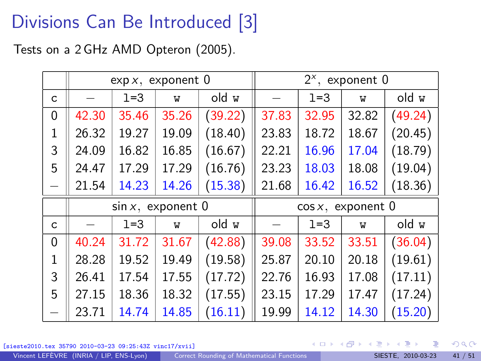# Divisions Can Be Introduced [3]

Tests on a 2 GHz AMD Opteron (2005).

|              | $\exp x$ , exponent 0 |         |       |                       | $2^x$ , exponent 0 |         |       |         |
|--------------|-----------------------|---------|-------|-----------------------|--------------------|---------|-------|---------|
| $\mathsf{C}$ |                       | $1 = 3$ | W     | old w                 |                    | $1 = 3$ | W     | old w   |
| 0            | 42.30                 | 35.46   | 35.26 | (39.22)               | 37.83              | 32.95   | 32.82 | (49.24) |
| 1            | 26.32                 | 19.27   | 19.09 | (18.40)               | 23.83              | 18.72   | 18.67 | (20.45) |
| 3            | 24.09                 | 16.82   | 16.85 | (16.67)               | 22.21              | 16.96   | 17.04 | (18.79) |
| 5            | 24.47                 | 17.29   | 17.29 | (16.76)               | 23.23              | 18.03   | 18.08 | (19.04) |
|              | 21.54                 | 14.23   | 14.26 | (15.38)               | 21.68              | 16.42   | 16.52 | (18.36) |
|              | $sin x$ , exponent 0  |         |       | $\cos x$ , exponent 0 |                    |         |       |         |
| C            |                       | $1 = 3$ | W     | old w                 |                    | $1 = 3$ | W     | old w   |
| 0            | 40.24                 | 31.72   | 31.67 | (42.88)               | 39.08              | 33.52   | 33.51 | (36.04) |
| 1            | 28.28                 | 19.52   | 19.49 | (19.58)               | 25.87              | 20.10   | 20.18 | (19.61) |
| 3            | 26.41                 | 17.54   | 17.55 | (17.72)               | 22.76              | 16.93   | 17.08 | (17.11) |
| 5            | 27.15                 | 18.36   | 18.32 | (17.55)               | 23.15              | 17.29   | 17.47 | (17.24) |
|              | 23.71                 | 14.74   | 14.85 | (16.11)               | 19.99              | 14.12   | 14.30 | (15.20) |

[sieste2010.tex 35790 2010-03-23 09:25:43Z vinc17/xvii]

 $298$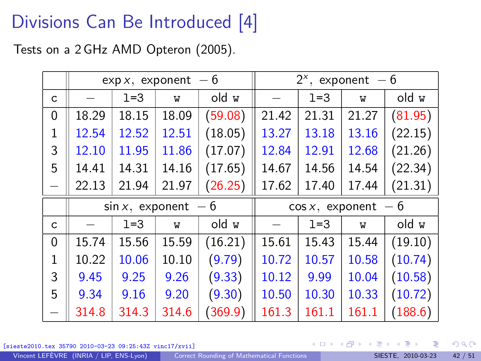# Divisions Can Be Introduced [4]

Tests on a 2 GHz AMD Opteron (2005).

|              | $\exp x$ , exponent - 6 |       | $2^x$ , exponent - 6    |         |       |       |       |         |
|--------------|-------------------------|-------|-------------------------|---------|-------|-------|-------|---------|
| $\mathsf{C}$ |                         | $1=3$ | W                       | old w   |       | $1=3$ | W     | old w   |
| 0            | 18.29                   | 18.15 | 18.09                   | (59.08) | 21.42 | 21.31 | 21.27 | (81.95) |
| 1            | 12.54                   | 12.52 | 12.51                   | (18.05) | 13.27 | 13.18 | 13.16 | (22.15) |
| 3            | 12.10                   | 11.95 | 11.86                   | (17.07) | 12.84 | 12.91 | 12.68 | (21.26) |
| 5            | 14.41                   | 14.31 | 14.16                   | (17.65) | 14.67 | 14.56 | 14.54 | (22.34) |
|              | 22.13                   | 21.94 | 21.97                   | (26.25) | 17.62 | 17.40 | 17.44 | (21.31) |
|              | $\sin x$ , exponent - 6 |       | $\cos x$ , exponent - 6 |         |       |       |       |         |
| C            |                         | $1=3$ | W                       | old w   |       | $1=3$ | W     | old w   |
| 0            | 15.74                   | 15.56 | 15.59                   | (16.21) | 15.61 | 15.43 | 15.44 | (19.10) |
| $\mathbf{1}$ | 10.22                   | 10.06 | 10.10                   | (9.79)  | 10.72 | 10.57 | 10.58 | (10.74) |
| 3            | 9.45                    | 9.25  | 9.26                    | (9.33)  | 10.12 | 9.99  | 10.04 | (10.58) |
| 5            | 9.34                    | 9.16  | 9.20                    | (9.30)  | 10.50 | 10.30 | 10.33 | (10.72) |
|              | 314.8                   | 314.3 | 314.6                   | (369.9) | 161.3 | 161.1 | 161.1 | (188.6) |

[sieste2010.tex 35790 2010-03-23 09:25:43Z vinc17/xvii]

 $298$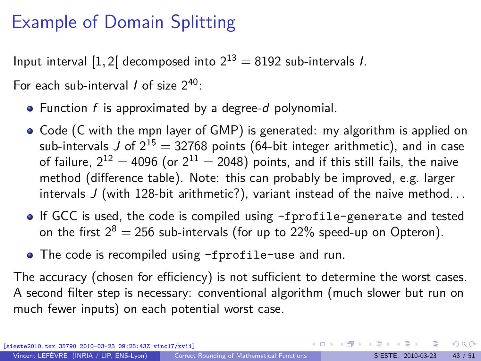## Example of Domain Splitting

Input interval [1, 2] decomposed into  $2^{13} = 8192$  sub-intervals *I*.

For each sub-interval  $\ell$  of size  $2^{40}$ :

- $\bullet$  Function f is approximated by a degree-d polynomial.
- Code (C with the mpn layer of GMP) is generated: my algorithm is applied on sub-intervals J of  $2^{15} = 32768$  points (64-bit integer arithmetic), and in case of failure,  $2^{12} = 4096$  (or  $2^{11} = 2048$ ) points, and if this still fails, the naive method (difference table). Note: this can probably be improved, e.g. larger intervals J (with 128-bit arithmetic?), variant instead of the naive method. . .
- If GCC is used, the code is compiled using -fprofile-generate and tested on the first  $2^8 = 256$  sub-intervals (for up to 22% speed-up on Opteron).
- The code is recompiled using -fprofile-use and run.

The accuracy (chosen for efficiency) is not sufficient to determine the worst cases. A second filter step is necessary: conventional algorithm (much slower but run on much fewer inputs) on each potential worst case.

35790 2010-03-23 09:25:43Z vinc17/xvii]

 $\Omega$ 

 $\left\{ \begin{array}{ccc} \square & \times & \overline{\square} & \times \end{array} \right.$   $\left\{ \begin{array}{ccc} \square & \times & \times & \overline{\square} & \times \end{array} \right.$   $\left\{ \begin{array}{ccc} \square & \times & \times & \overline{\square} & \times \end{array} \right.$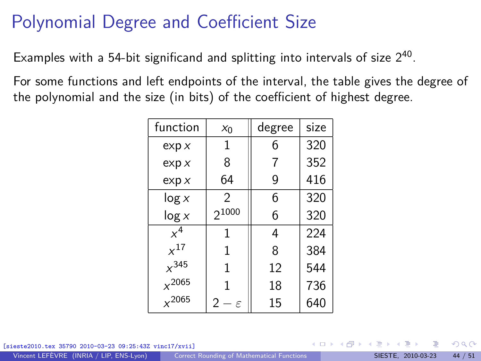## Polynomial Degree and Coefficient Size

Examples with a 54-bit significand and splitting into intervals of size  $2^{40}$ .

For some functions and left endpoints of the interval, the table gives the degree of the polynomial and the size (in bits) of the coefficient of highest degree.

| function   | $x_0$                        | degree | size |
|------------|------------------------------|--------|------|
| exp x      | 1                            | 6      | 320  |
| exp x      | 8                            |        | 352  |
| exp x      | 64                           | 9      | 416  |
| log x      | 2                            | 6      | 320  |
| log x      | $2^{1000}$                   | 6      | 320  |
| $x^4$      | 1                            | 4      | 224  |
| $x^{17}$   | 1                            | 8      | 384  |
| $x^{345}$  | 1                            | 12     | 544  |
| $x^{2065}$ | 1                            | 18     | 736  |
| $x^{2065}$ | $\mathfrak{D}$<br>$\epsilon$ | 15     | 640  |

[sieste2010.tex 35790 2010-03-23 09:25:43Z vinc17/xvii]

 $\Omega$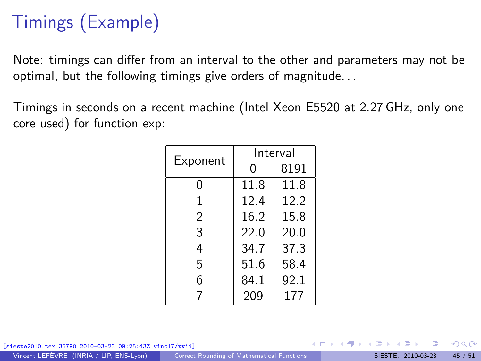# Timings (Example)

Note: timings can differ from an interval to the other and parameters may not be optimal, but the following timings give orders of magnitude. . .

Timings in seconds on a recent machine (Intel Xeon E5520 at 2.27 GHz, only one core used) for function exp:

| Exponent | Interval |      |  |  |
|----------|----------|------|--|--|
|          | 0        | 8191 |  |  |
| 0        | 11.8     | 11.8 |  |  |
| 1        | 12.4     | 12.2 |  |  |
| 2        | 16.2     | 15.8 |  |  |
| 3        | 22.O     | 20.0 |  |  |
| 4        | 34.7     | 37.3 |  |  |
| 5        | 51.6     | 58.4 |  |  |
| 6        | 84.1     | 92.1 |  |  |
| 7        | 209      | 177  |  |  |

[sieste2010.tex 35790 2010-03-23 09:25:43Z vinc17/xvii]

 $\Omega$ 

イロト イ押 トイヨ トイヨト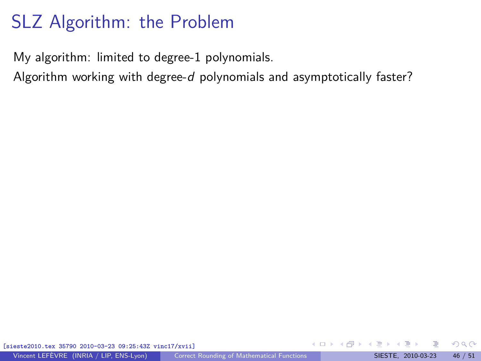## SLZ Algorithm: the Problem

My algorithm: limited to degree-1 polynomials.

Algorithm working with degree-d polynomials and asymptotically faster?

[sieste2010.tex 35790 2010-03-23 09:25:43Z vinc17/xvii]

 $\Omega$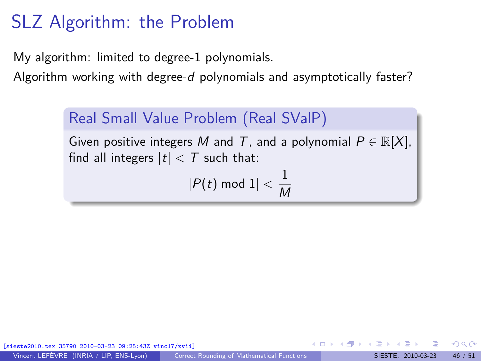# SLZ Algorithm: the Problem

My algorithm: limited to degree-1 polynomials.

Algorithm working with degree-d polynomials and asymptotically faster?

#### Real Small Value Problem (Real SValP)

Given positive integers M and T, and a polynomial  $P \in \mathbb{R}[X]$ , find all integers  $|t| < T$  such that:

$$
|P(t) \bmod 1| < \frac{1}{M}
$$

[sieste2010.tex 35790 2010-03-23 09:25:43Z vinc17/xvii]

 $\Omega$ 

- ④ → ④ ミト ④ ミト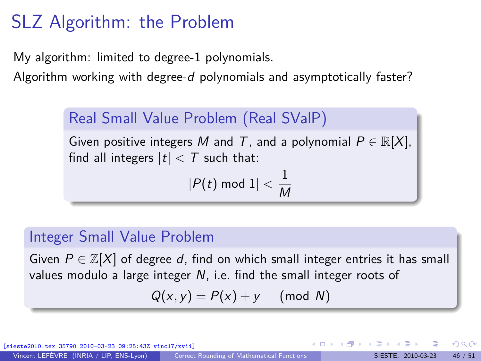# SLZ Algorithm: the Problem

My algorithm: limited to degree-1 polynomials.

Algorithm working with degree-d polynomials and asymptotically faster?

#### Real Small Value Problem (Real SValP)

Given positive integers M and T, and a polynomial  $P \in \mathbb{R}[X]$ , find all integers  $|t| < T$  such that:

$$
|P(t) \bmod 1| < \frac{1}{M}
$$

#### Integer Small Value Problem

Given  $P \in \mathbb{Z}[X]$  of degree d, find on which small integer entries it has small values modulo a large integer N, i.e. find the small integer roots of

$$
Q(x, y) = P(x) + y \pmod{N}
$$

[sieste2010.tex 35790 2010-03-23 09:25:43Z vinc17/xvii]

 $\Omega$ 

 $\left\{ \begin{array}{ccc} 1 & 0 & 0 \\ 0 & 1 & 0 \end{array} \right.$  ,  $\left\{ \begin{array}{ccc} \frac{1}{2} & 0 & 0 \\ 0 & 0 & 0 \end{array} \right.$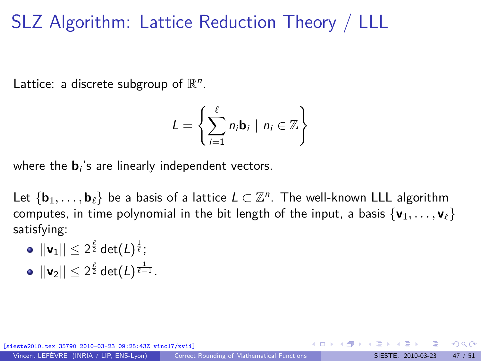#### SLZ Algorithm: Lattice Reduction Theory / LLL

Lattice: a discrete subgroup of  $\mathbb{R}^n$ .

$$
L = \left\{ \sum_{i=1}^{\ell} n_i \mathbf{b}_i \mid n_i \in \mathbb{Z} \right\}
$$

where the  $\mathbf{b}_i$ 's are linearly independent vectors.

Let  $\{ \mathbf{b}_1, \ldots, \mathbf{b}_\ell \}$  be a basis of a lattice  $L \subset \mathbb{Z}^n$ . The well-known LLL algorithm computes, in time polynomial in the bit length of the input, a basis  $\{v_1, \ldots, v_\ell\}$ satisfying:

- $||\mathsf{v}_1||\leq 2^{\frac{\ell}{2}}\mathsf{det}(L)^{\frac{1}{\ell}}$ ;
- $||\mathbf{v}_2|| \leq 2^{\frac{\ell}{2}} \det(L)^{\frac{1}{\ell-1}}$  .

[0-03-23 09:25:43Z vinc17/xvii]

 $\Omega$ 

イロト イ押 トイヨ トイヨト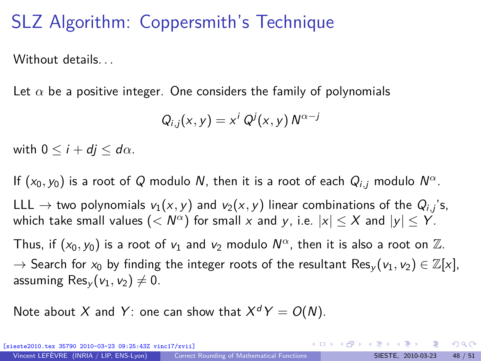## SLZ Algorithm: Coppersmith's Technique

Without details....

Let  $\alpha$  be a positive integer. One considers the family of polynomials

$$
Q_{i,j}(x,y)=x^i Q^j(x,y) N^{\alpha-j}
$$

with  $0 \leq i + di \leq d\alpha$ .

If  $(x_0, y_0)$  is a root of Q modulo N, then it is a root of each  $Q_{i,j}$  modulo  $N^{\alpha}$ . LLL  $\rightarrow$  two polynomials  $v_1(x,y)$  and  $v_2(x,y)$  linear combinations of the  $Q_{i,j}$ 's, which take small values  $(< N^{\alpha})$  for small  $x$  and  $y$ , i.e.  $|x| \leq X$  and  $|y| \leq Y.$ Thus, if  $(x_0, y_0)$  is a root of  $v_1$  and  $v_2$  modulo  $N^{\alpha}$ , then it is also a root on  $\mathbb{Z}$ .  $\rightarrow$  Search for  $x_0$  by finding the integer roots of the resultant Res<sub>v</sub>( $v_1, v_2$ )  $\in \mathbb{Z}[x]$ , assuming  $\text{Res}_{\nu}(\nu_1, \nu_2) \neq 0$ .

Note about X and Y: one can show that  $X^dY = O(N)$ .

 $2990$ 

イロメ イ団メ イモメ イモメー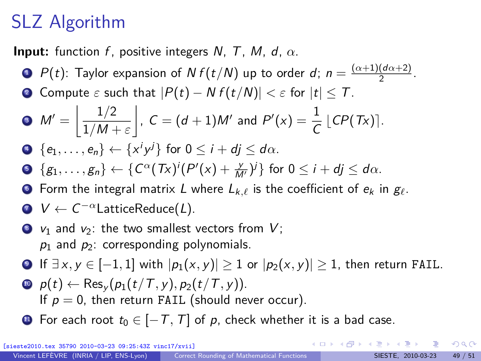# SLZ Algorithm

**Input:** function f, positive integers N, T, M, d,  $\alpha$ .

- **1**  $P(t)$ : Taylor expansion of  $N f(t/N)$  up to order d;  $n = \frac{(\alpha+1)(d\alpha+2)}{2}$  $\frac{(u\alpha+2)}{2}$ .
- **2** Compute  $\varepsilon$  such that  $|P(t) Nf(t/N)| < \varepsilon$  for  $|t| \leq T$ .

• 
$$
M' = \left\lfloor \frac{1/2}{1/M + \varepsilon} \right\rfloor
$$
,  $C = (d+1)M'$  and  $P'(x) = \frac{1}{C} \lfloor CP(Tx) \rfloor$ .

$$
\bullet \ \{e_1,\ldots,e_n\} \leftarrow \{x^iy^j\} \text{ for } 0 \leq i+dj \leq d\alpha.
$$

$$
\bullet \ \{g_1,\ldots,g_n\} \leftarrow \{C^{\alpha}(Tx)^{i}(P'(x)+\frac{y}{M'})^{i}\} \text{ for } 0 \leq i+dj \leq d\alpha.
$$

**6** Form the integral matrix L where  $L_{k,\ell}$  is the coefficient of  $e_k$  in  $g_\ell$ .

$$
V \leftarrow C^{-\alpha} \text{LatticeReduce}(L).
$$

- $\bullet$   $v_1$  and  $v_2$ : the two smallest vectors from  $V$ ;  $p_1$  and  $p_2$ : corresponding polynomials.
- **9** If  $\exists x, y \in [-1, 1]$  with  $|p_1(x, y)| \ge 1$  or  $|p_2(x, y)| \ge 1$ , then return FAIL.
- $p(t) \leftarrow \text{Res}_{v}(p_1(t/T, v), p_2(t/T, v)).$ If  $p = 0$ , then return FAIL (should never occur).
- $\bullet$  For each root  $t_0 \in [-T, T]$  of p, check whether it is a bad case.

(010-03-23 09:25:43Z vinc17/xvii]

 $209$ 

イロト イ団 トイ ミト イヨト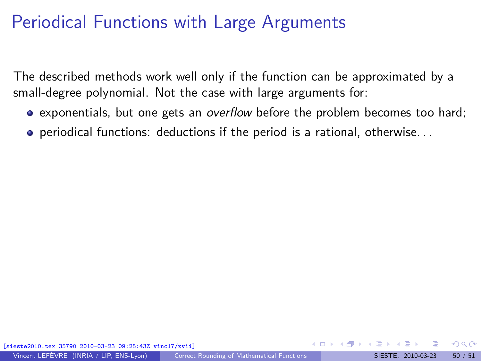The described methods work well only if the function can be approximated by a small-degree polynomial. Not the case with large arguments for:

- **e** exponentials, but one gets an *overflow* before the problem becomes too hard;
- periodical functions: deductions if the period is a rational, otherwise. . .

 $\Omega$ 

イロト イ押 トイヨ トイヨ)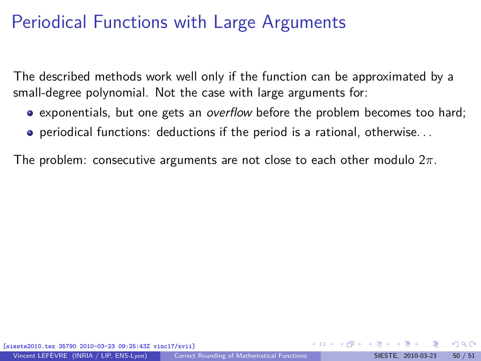The described methods work well only if the function can be approximated by a small-degree polynomial. Not the case with large arguments for:

- **e** exponentials, but one gets an *overflow* before the problem becomes too hard;
- periodical functions: deductions if the period is a rational, otherwise. . .

The problem: consecutive arguments are not close to each other modulo 2*π*.

35790 2010-03-23 09:25:43Z vinc17/xvii]

 $\Omega$ 

イロト イ押 トイヨ トイヨ)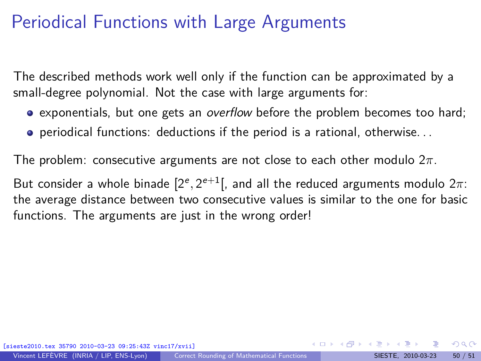The described methods work well only if the function can be approximated by a small-degree polynomial. Not the case with large arguments for:

- **e** exponentials, but one gets an *overflow* before the problem becomes too hard;
- periodical functions: deductions if the period is a rational, otherwise. . .

The problem: consecutive arguments are not close to each other modulo 2*π*.

But consider a whole binade  $[2^e, 2^{e+1}[$ , and all the reduced arguments modulo  $2\pi$ : the average distance between two consecutive values is similar to the one for basic functions. The arguments are just in the wrong order!

 $\Omega$ 

 $4$  ロ )  $4$   $\overline{m}$  )  $4$   $\overline{m}$  )  $4$   $\overline{m}$  )  $4$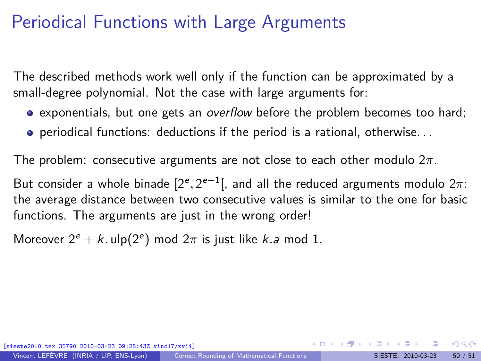The described methods work well only if the function can be approximated by a small-degree polynomial. Not the case with large arguments for:

- **e** exponentials, but one gets an *overflow* before the problem becomes too hard;
- periodical functions: deductions if the period is a rational, otherwise. . .

The problem: consecutive arguments are not close to each other modulo 2*π*.

But consider a whole binade  $[2^e, 2^{e+1}[$ , and all the reduced arguments modulo  $2\pi$ : the average distance between two consecutive values is similar to the one for basic functions. The arguments are just in the wrong order!

Moreover  $2^e + k$ . ulp( $2^e$ ) mod  $2\pi$  is just like *k*.a mod 1.

[sieste2010.tex 35790 2010-03-23 09:25:43Z vinc17/xvii]

 $\Omega$ 

 $4$  ロ )  $4$   $\overline{m}$  )  $4$   $\overline{m}$  )  $4$   $\overline{m}$  )  $4$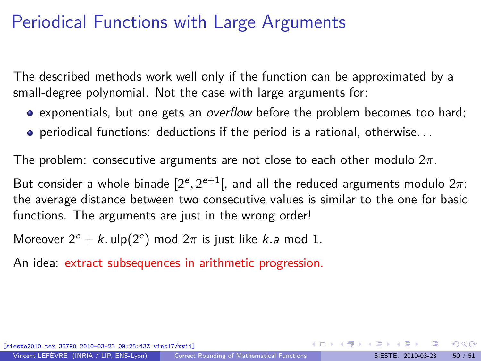The described methods work well only if the function can be approximated by a small-degree polynomial. Not the case with large arguments for:

- **e** exponentials, but one gets an *overflow* before the problem becomes too hard;
- periodical functions: deductions if the period is a rational, otherwise. . .

The problem: consecutive arguments are not close to each other modulo 2*π*.

But consider a whole binade  $[2^e, 2^{e+1}[$ , and all the reduced arguments modulo  $2\pi$ : the average distance between two consecutive values is similar to the one for basic functions. The arguments are just in the wrong order!

Moreover  $2^e + k$ . ulp( $2^e$ ) mod  $2\pi$  is just like *k*.a mod 1.

An idea: extract subsequences in arithmetic progression.

[sieste2010.tex 35790 2010-03-23 09:25:43Z vinc17/xvii]

 $\Omega$ 

メロトメ 伊 トメ ミトメ ミト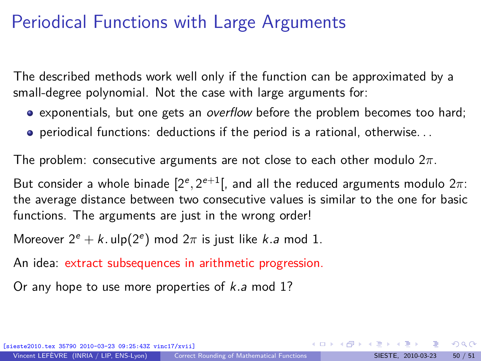The described methods work well only if the function can be approximated by a small-degree polynomial. Not the case with large arguments for:

- **e** exponentials, but one gets an *overflow* before the problem becomes too hard;
- periodical functions: deductions if the period is a rational, otherwise. . .

The problem: consecutive arguments are not close to each other modulo 2*π*.

But consider a whole binade  $[2^e, 2^{e+1}[$ , and all the reduced arguments modulo  $2\pi$ : the average distance between two consecutive values is similar to the one for basic functions. The arguments are just in the wrong order!

Moreover  $2^e + k$ . ulp( $2^e$ ) mod  $2\pi$  is just like *k*.a mod 1.

An idea: extract subsequences in arithmetic progression.

Or any hope to use more properties of k*.*a mod 1?

[sieste2010.tex 35790 2010-03-23 09:25:43Z vinc17/xvii]

 $\Omega$ 

メロトメ 御 トメ ミトメ ミト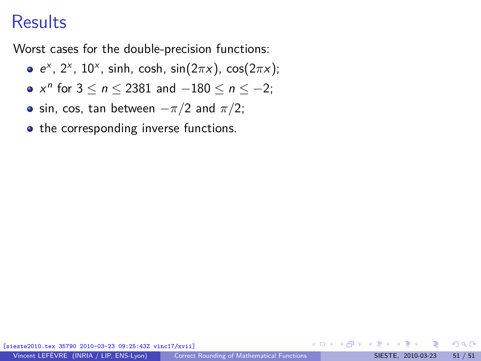#### **Results**

Worst cases for the double-precision functions:

- $e<sup>x</sup>$ , 2<sup>x</sup>, 10<sup>x</sup>, sinh, cosh, sin(2πx), cos(2πx);
- $x^n$  for  $3 \le n \le 2381$  and  $-180 \le n \le -2$ ;
- $\bullet$  sin, cos, tan between  $-\pi/2$  and  $\pi/2$ ;

• the corresponding inverse functions.

 $\Omega$ 

イロト イ押 トイヨ トイヨ)